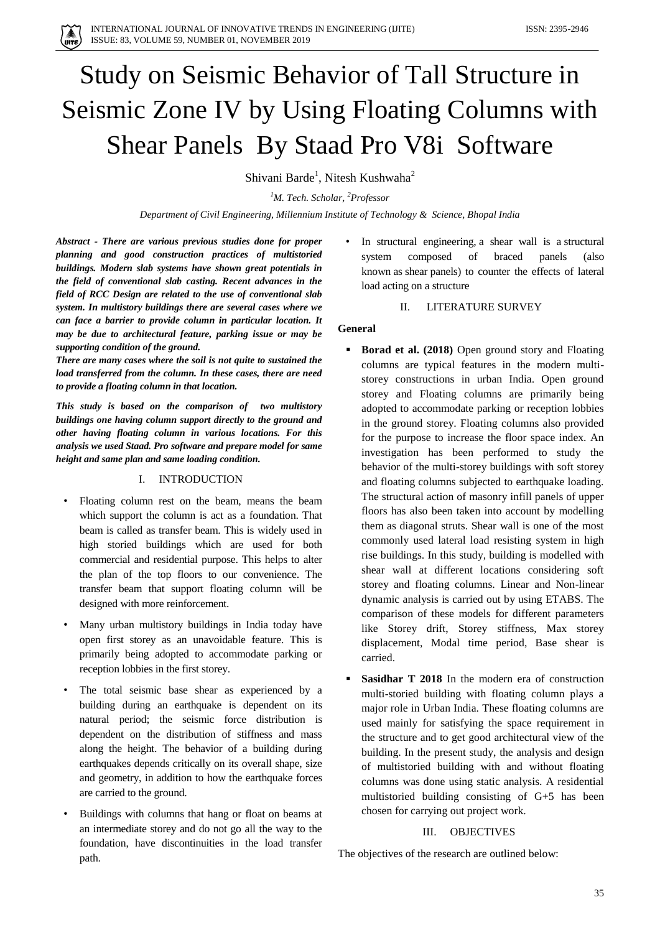# Study on Seismic Behavior of Tall Structure in Seismic Zone IV by Using Floating Columns with Shear Panels By Staad Pro V8i Software

Shivani Barde<sup>1</sup>, Nitesh Kushwaha<sup>2</sup>

*<sup>1</sup>M. Tech. Scholar, <sup>2</sup>Professor*

*Department of Civil Engineering, Millennium Institute of Technology & Science, Bhopal India*

*Abstract - There are various previous studies done for proper planning and good construction practices of multistoried buildings. Modern slab systems have shown great potentials in the field of conventional slab casting. Recent advances in the field of RCC Design are related to the use of conventional slab system. In multistory buildings there are several cases where we can face a barrier to provide column in particular location. It may be due to architectural feature, parking issue or may be supporting condition of the ground.* 

*There are many cases where the soil is not quite to sustained the load transferred from the column. In these cases, there are need to provide a floating column in that location.*

*This study is based on the comparison of two multistory buildings one having column support directly to the ground and other having floating column in various locations. For this analysis we used Staad. Pro software and prepare model for same height and same plan and same loading condition.* 

#### I. INTRODUCTION

- Floating column rest on the beam, means the beam which support the column is act as a foundation. That beam is called as transfer beam. This is widely used in high storied buildings which are used for both commercial and residential purpose. This helps to alter the plan of the top floors to our convenience. The transfer beam that support floating column will be designed with more reinforcement.
- Many urban multistory buildings in India today have open first storey as an unavoidable feature. This is primarily being adopted to accommodate parking or reception lobbies in the first storey.
- The total seismic base shear as experienced by a building during an earthquake is dependent on its natural period; the seismic force distribution is dependent on the distribution of stiffness and mass along the height. The behavior of a building during earthquakes depends critically on its overall shape, size and geometry, in addition to how the earthquake forces are carried to the ground.
- Buildings with columns that hang or float on beams at an intermediate storey and do not go all the way to the foundation, have discontinuities in the load transfer path.

In structural engineering, a shear wall is a structural system composed of braced panels (also known as shear panels) to counter the effects of lateral load acting on a structure

## II. LITERATURE SURVEY

## **General**

- **Borad et al. (2018)** Open ground story and Floating columns are typical features in the modern multistorey constructions in urban India. Open ground storey and Floating columns are primarily being adopted to accommodate parking or reception lobbies in the ground storey. Floating columns also provided for the purpose to increase the floor space index. An investigation has been performed to study the behavior of the multi-storey buildings with soft storey and floating columns subjected to earthquake loading. The structural action of masonry infill panels of upper floors has also been taken into account by modelling them as diagonal struts. Shear wall is one of the most commonly used lateral load resisting system in high rise buildings. In this study, building is modelled with shear wall at different locations considering soft storey and floating columns. Linear and Non-linear dynamic analysis is carried out by using ETABS. The comparison of these models for different parameters like Storey drift, Storey stiffness, Max storey displacement, Modal time period, Base shear is carried.
- **Sasidhar T 2018** In the modern era of construction multi-storied building with floating column plays a major role in Urban India. These floating columns are used mainly for satisfying the space requirement in the structure and to get good architectural view of the building. In the present study, the analysis and design of multistoried building with and without floating columns was done using static analysis. A residential multistoried building consisting of G+5 has been chosen for carrying out project work.

#### III. OBJECTIVES

The objectives of the research are outlined below: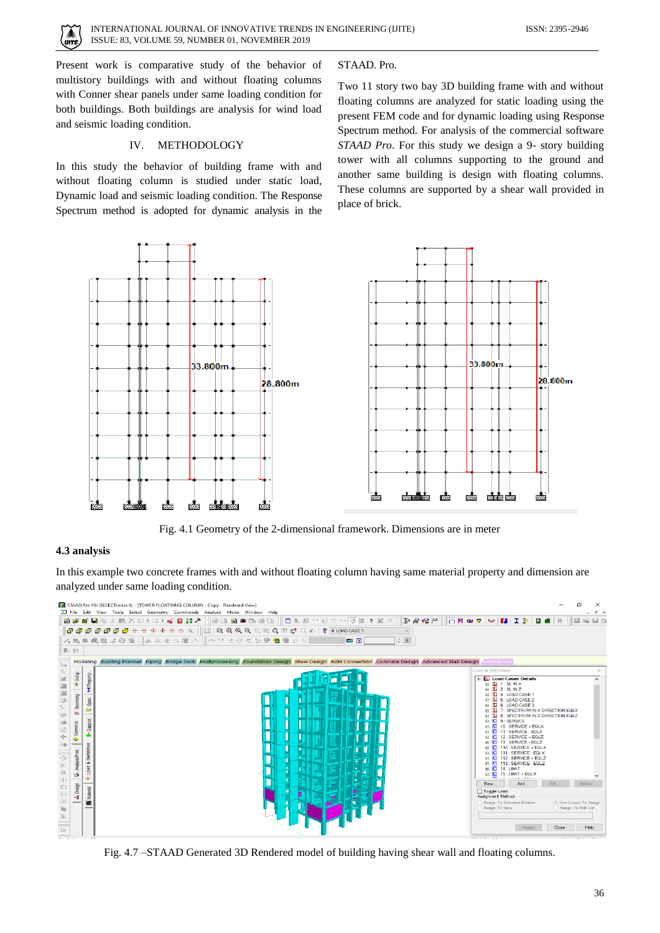Present work is comparative study of the behavior of multistory buildings with and without floating columns with Conner shear panels under same loading condition for both buildings. Both buildings are analysis for wind load and seismic loading condition.

#### IV. METHODOLOGY

In this study the behavior of building frame with and without floating column is studied under static load, Dynamic load and seismic loading condition. The Response Spectrum method is adopted for dynamic analysis in the

#### STAAD. Pro.

Two 11 story two bay 3D building frame with and without floating columns are analyzed for static loading using the present FEM code and for dynamic loading using Response Spectrum method. For analysis of the commercial software *STAAD Pro*. For this study we design a 9- story building tower with all columns supporting to the ground and another same building is design with floating columns. These columns are supported by a shear wall provided in place of brick.



Fig. 4.1 Geometry of the 2-dimensional framework. Dimensions are in meter

#### **4.3 analysis**

In this example two concrete frames with and without floating column having same material property and dimension are analyzed under same loading condition.



Fig. 4.7 –STAAD Generated 3D Rendered model of building having shear wall and floating columns.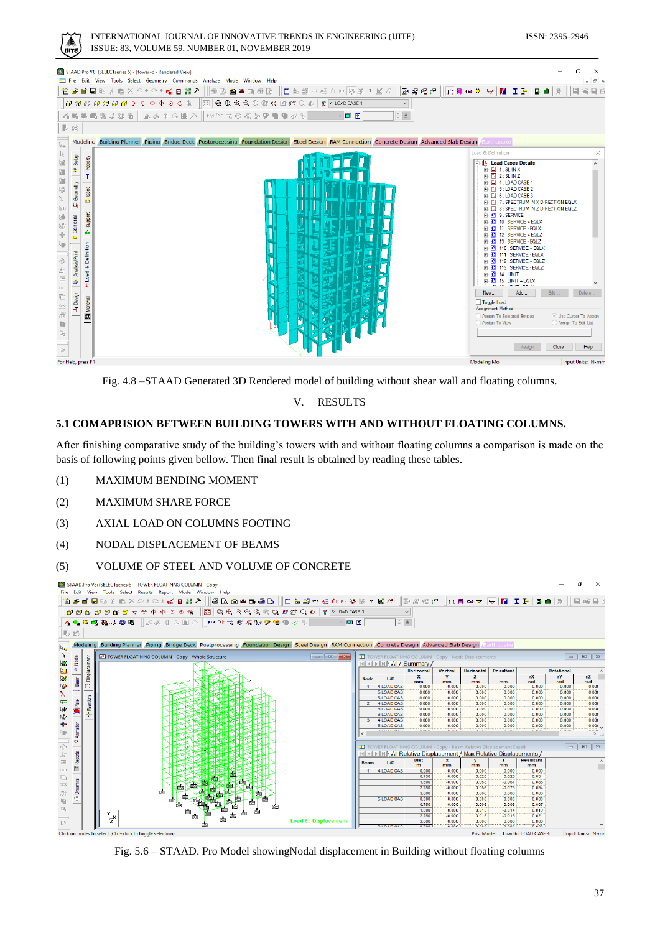#### INTERNATIONAL JOURNAL OF INNOVATIVE TRENDS IN ENGINEERING (IJITE) ISSN: 2395-2946 ISSUE: 83, VOLUME 59, NUMBER 01, NOVEMBER 2019

| STAAD.Pro V8i (SELECTseries 6) - [tower-c - Rendered View]<br>T File Edit View Tools Select Geometry Commands Analyze Mode Window Help                                                                                                                                                                                                                                                                                                                                                                                                                                | X<br>$  \approx$                                                                                                                                                                                                                                                                                                                                                                                                                                                                                                                                                                                                                                                         |
|-----------------------------------------------------------------------------------------------------------------------------------------------------------------------------------------------------------------------------------------------------------------------------------------------------------------------------------------------------------------------------------------------------------------------------------------------------------------------------------------------------------------------------------------------------------------------|--------------------------------------------------------------------------------------------------------------------------------------------------------------------------------------------------------------------------------------------------------------------------------------------------------------------------------------------------------------------------------------------------------------------------------------------------------------------------------------------------------------------------------------------------------------------------------------------------------------------------------------------------------------------------|
| $  \oplus\texttt{b}\oplus\texttt{b}\oplus\texttt{b}   $ $\Box$ $\oplus$ all $\lnot$ $\oplus$ $\lnot$ $\lnot$ $\lnot$ $\lnot$ $\lnot$ $\lnot$ $\lnot$ $\lnot$ $\lnot$ $\lnot$ $\lnot$<br>医腐殖剂<br>管房■■图》画※으±으±1☆■晶プ│                                                                                                                                                                                                                                                                                                                                                    | ▐ດฅ๑♥ ₩ M IÞ Q∎ Я<br>暗目面<br>11 E                                                                                                                                                                                                                                                                                                                                                                                                                                                                                                                                                                                                                                         |
| $\parallel$ 6 6 6 6 6 6 6 6 + 0 + 0 0 4 $\parallel$ [3] Q & & Q Q Q & Q If $\triangle$ Q $\parallel$ 8 $\parallel$ 1.1040 [ASE ]<br>$\checkmark$                                                                                                                                                                                                                                                                                                                                                                                                                      |                                                                                                                                                                                                                                                                                                                                                                                                                                                                                                                                                                                                                                                                          |
| 右路帯■職は@囲  ぶぶ#G囲入  150吋☆@な≫ዎ售●♂% <br>$\frac{\Delta}{\nu}$ $\frac{\Delta}{\Delta}$<br>$\Box$ ?                                                                                                                                                                                                                                                                                                                                                                                                                                                                          |                                                                                                                                                                                                                                                                                                                                                                                                                                                                                                                                                                                                                                                                          |
| 長路                                                                                                                                                                                                                                                                                                                                                                                                                                                                                                                                                                    |                                                                                                                                                                                                                                                                                                                                                                                                                                                                                                                                                                                                                                                                          |
| Modeling Building Planner Piping Bridge Deck Postprocessing Foundation Design Steel Design RAM Connection Concrete Design Advanced Slab Design<br>$\mathbb{R}_{\Theta}$                                                                                                                                                                                                                                                                                                                                                                                               | Earthquake                                                                                                                                                                                                                                                                                                                                                                                                                                                                                                                                                                                                                                                               |
| $\mathbb{R}$                                                                                                                                                                                                                                                                                                                                                                                                                                                                                                                                                          | Load & Definition<br>x                                                                                                                                                                                                                                                                                                                                                                                                                                                                                                                                                                                                                                                   |
| Setup<br>Property<br>$\mathbb{R}$<br>x.<br>圖<br>$\mathbf{I}$<br><b>SK</b><br>Geometry<br>$\heartsuit$<br>Spec<br>$\lambda$<br>bò.<br>兩<br>厦<br>Support<br>General<br>$\mathbb{N}^{\mathbb{N}}_{\mathbb{N}}$<br>÷<br>Æ,<br><b>N</b><br>Definition<br>Analysis/Print<br>л<br>$\begin{tabular}{ c c } \hline \quad \quad & \quad \quad & \quad \quad \\ \hline \quad \quad & \quad \quad & \quad \quad \\ \hline \quad \quad & \quad \quad & \quad \quad \\ \hline \quad \quad & \quad \quad & \quad \quad \\ \hline \end{tabular}$<br>T<br>$\bullet$<br>当国<br>Load<br>ś | <b>E.</b> [L] Load Cases Details<br>$H - \overline{L}$ 1: SLINX<br>$H - \overline{L}$ 2: SL IN Z<br><b>F-D</b> 4: LOAD CASE 1<br>$\overline{L}$ $\overline{L}$ 5: LOAD CASE 2<br>$\mathbf{L}$ $\mathbf{L}$ 6: LOAD CASE 3<br><b>LE 7: SPECTRUM IN X DIRECTION EQLX</b><br>۰m<br>8 : SPECTRUM IN Z DIRECTION EQLZ<br><b>FILE</b> 9: SERVICE<br>10: SERVICE + EQLX<br>- ICI<br><b>C</b> 11: SERVICE - EQLX<br>12 : SERVICE + EQLZ<br>- ICI<br>13: SERVICE - EQLZ<br>肁<br>- ICI<br>110 : SERVICE + EQLX<br>- ICI<br>mi⊹ <mark>iC</mark> I 111:SERVICE - EQLX<br>- ICI<br>112 : SERVICE + EQLZ<br>C 113: SERVICE - EQLZ<br>$E - C$ 14 : LIMIT<br><b>E-C</b> 15: LIMIT + EQLX |
| $\Box   \Box$<br>Design<br>O<br>$\overline{\mathbf{a}}$<br>Materi<br>$\overline{\gamma\gamma}$<br>÷Ē.<br>$\overline{\mathbb{Q}}$<br>霞<br>胎<br>$Q_0$<br>$\mid \stackrel{\iota}{\rightleftarrows}$                                                                                                                                                                                                                                                                                                                                                                      | Add.<br>Edit.<br>New<br>Delete.<br>Toggle Load<br>Assignment Method<br>Assign To Selected Entities<br><b>ID</b> Use Cursor To Assign<br>Assign To View<br>Assign To Edit List<br>Help<br>Close<br>Assian                                                                                                                                                                                                                                                                                                                                                                                                                                                                 |
| For Help, press F1                                                                                                                                                                                                                                                                                                                                                                                                                                                                                                                                                    | Modeling Mo<br>Input Units: N-mm                                                                                                                                                                                                                                                                                                                                                                                                                                                                                                                                                                                                                                         |

Fig. 4.8 –STAAD Generated 3D Rendered model of building without shear wall and floating columns.

## V. RESULTS

# **5.1 COMAPRISION BETWEEN BUILDING TOWERS WITH AND WITHOUT FLOATING COLUMNS.**

After finishing comparative study of the building's towers with and without floating columns a comparison is made on the basis of following points given bellow. Then final result is obtained by reading these tables.

- (1) MAXIMUM BENDING MOMENT
- (2) MAXIMUM SHARE FORCE
- (3) AXIAL LOAD ON COLUMNS FOOTING
- (4) NODAL DISPLACEMENT OF BEAMS
- (5) VOLUME OF STEEL AND VOLUME OF CONCRETE

STAAD.Pro V8i (SELECTseries 6) - TOWER FLOATINNG COLUMN - Copy anuaurono sustate isoto Select Results Report Mode Window Help<br>File Edit View Tools Select Results Report Mode Window Help<br><sup>"</sup>阎母自己怎么回入으纟으<mark>纟《日語》|</mark>│ <mark>③Q 国中西</mark>國 │ │ □ 色部 → 선 ㄱ H4 ≫ ※ ? *監 <* / File Edit View ▓░▓░▓▞░▓░▓░▓░▓░▓░▓░▓░▓░▓░  $\boxed{\hspace{-0.2cm} \hspace{0.2cm} \mathcal{O} \hspace{0.2cm} \mathcal{O} \hspace{0.2cm} \mathcal{O} \hspace{0.2cm} \mathcal{O} \hspace{0.2cm} \mathcal{O} \hspace{0.2cm} \mathcal{O} \hspace{0.2cm} \mathcal{O} \hspace{0.2cm} } } \hspace{0.2cm} \mathcal{O} \hspace{0.2cm} \mathcal{O} \hspace{0.2cm} \mathcal{O} \hspace{0.2cm} \mathcal{O} \hspace{0.2cm} \mathcal{O} \hspace{0.2cm} } \hspace{0.2cm$  $\vee$ KSBQQJ@B||K&∯GBA||₩₩⋨®K%99904%|  $\Box$   $\Box$  $\frac{1}{\pi}$  : 11.26 Modeling Building Planner Piping Bridge Deck Postprocessing Foundation Design Steel Design RAM Connection Concrete Design Advanced Slab Design 10 日暮 10 10 日半三五十一 伊格布西 入房路图路 乡地 **IFFI TOWER FLOATINNG COLUMN - Cop** Node 4 4 > | > | All A Summar Beam LIC  $\frac{1}{0}$  00  $\frac{m}{0.00}$ ad<br>0.00  $\overline{0}$ AD  $\overline{0}$  $\frac{d}{0.00}$  $0.000$ <br>0.000<br>0.000<br>0.000<br>0.000  $\begin{array}{c} 0.000 \\ 0.000 \\ 0.000 \\ 0.000 \\ 0.000 \\ 0.000 \end{array}$  $\begin{array}{c} 0.000 \\ 0.000 \\ 0.000 \\ 0.000 \\ 0.000 \\ \end{array}$  $0.000$ <br>0.000<br>0.000<br>0.000 LOAD C  $0.00$  $0.000$  $0.000$ <br> $0.000$ <br> $0.000$ <br> $0.000$  $0.000$ <br> $0.000$ <br> $0.000$ <br> $0.000$ **Date**  $\overline{2}$ 0.00  $0.000$  $0.001$ <br> $0.001$  $0.000$ <br> $0.000$ **Animation** E **ET** Reports 4 4 F F M Relative Displacement (Max Relative Displacements) Resultant<br>
mm<br>
0.000<br>
0.034 LIC DAD 0  $\frac{8000}{0.001}$ **Fa Dynamics**  $\frac{1}{1.50}$  $0.000$ 0.05 0.08  $0.059$ <br> $0.000$  $0.094$ <br> $0.000$ <br> $0.000$ 0.000  $0.073$ 510AD CA  $\begin{array}{r} 0.000 \\ 0.000 \\ 0.000 \\ -0.000 \\ 0.000 \\ 0.000 \\ 0.000 \\ 0.000 \\ \hline \end{array}$  $\frac{5.000}{2.750}$  $0.005$ <br>0.005  $0.006$  $0.007$ <br>0.019  $0.014$  $0.015$ <br> $0.000$ Ļ  $0.015$ 0.021<br>0.000 ٦.  $\overline{16}$  - Di Load 6 : LOAD CASE 3 lick to toggle celection)

Fig. 5.6 – STAAD. Pro Model showingNodal displacement in Building without floating columns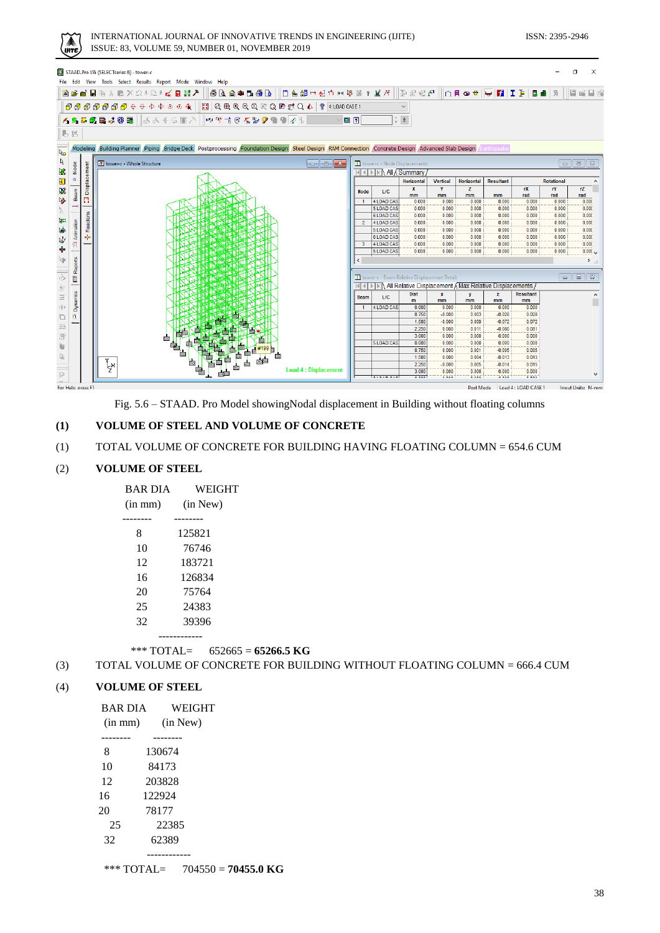$I(SSN: 2395-2946)$ 

| INTERNATIONAL JOURNAL OF INNOVATIVE TRENDS IN ENGINEERING (IJITE |
|------------------------------------------------------------------|
| ISSUE: 83, VOLUME 59, NUMBER 01, NOVEMBER 2019                   |

|  | STAAD.Pro V8i (SELECTseries 6) - tower-c<br>File Edit View Tools Select Results Report Mode Window Help                                                                                                                                                                                                                                                                                                                                                                                                                                                                                                                                                                                                                                                                                                                                                                                                                                                                                                                                                                                                                                                                                                                                                                                                                                                                                                                                                                                                                                                                                                                                                                                                                                                                                                                                                                                                                                                                                                                                                                                                                                                                                                                                                                                                                                                                                                                                                                                                                                                                                                                                                                                                                                                                                                                                                                                                                                                                                                                                                                                                                                                                                                                                                                                                                                                                                                                                                                                                                                                                                                                                                                                                                                                                                                                                                                                                                                                                                                                                                                                                                                                                                                                                                                                                                                                                                                                                                                                                                                                                                                                                                                                                                                                                                                                                                                                                                                                                                                                                                                                                                                                                                                                                                                                                                                                                                                                                                                                                                                                                                                                                                                                                                                                                                                                                                                                                                                                                                                                                                                                                                                                                                                                                                                                                                                                                                                                                                                                                                                                                                                                                                                                                                                                                                                                                                                                                                                                                                                                                                                                                                                                                                                                                                                                                                                                                                                                                                                                                                                                                                                                                                                                                                                                                                                                                                                                                                                                                                                                                                                                                                                                                                                                                                                                                                                                                                                                                                                                                                                                                                                                                                                                                                                                                                                                                                                                                                                                                                                                                                                                                                                                                                                                                                                                                                                                                                                                                                                                                                                                                                                                                                                                                                                                                                                                                                                                                                                                                                                                                                                                                                                                                                                                                                                                                                                                                                                                                                                                                                                                                                                                                                                                                                                                                                                                                                               |  |  |  |  |  |  |  |  |      |
|--|-----------------------------------------------------------------------------------------------------------------------------------------------------------------------------------------------------------------------------------------------------------------------------------------------------------------------------------------------------------------------------------------------------------------------------------------------------------------------------------------------------------------------------------------------------------------------------------------------------------------------------------------------------------------------------------------------------------------------------------------------------------------------------------------------------------------------------------------------------------------------------------------------------------------------------------------------------------------------------------------------------------------------------------------------------------------------------------------------------------------------------------------------------------------------------------------------------------------------------------------------------------------------------------------------------------------------------------------------------------------------------------------------------------------------------------------------------------------------------------------------------------------------------------------------------------------------------------------------------------------------------------------------------------------------------------------------------------------------------------------------------------------------------------------------------------------------------------------------------------------------------------------------------------------------------------------------------------------------------------------------------------------------------------------------------------------------------------------------------------------------------------------------------------------------------------------------------------------------------------------------------------------------------------------------------------------------------------------------------------------------------------------------------------------------------------------------------------------------------------------------------------------------------------------------------------------------------------------------------------------------------------------------------------------------------------------------------------------------------------------------------------------------------------------------------------------------------------------------------------------------------------------------------------------------------------------------------------------------------------------------------------------------------------------------------------------------------------------------------------------------------------------------------------------------------------------------------------------------------------------------------------------------------------------------------------------------------------------------------------------------------------------------------------------------------------------------------------------------------------------------------------------------------------------------------------------------------------------------------------------------------------------------------------------------------------------------------------------------------------------------------------------------------------------------------------------------------------------------------------------------------------------------------------------------------------------------------------------------------------------------------------------------------------------------------------------------------------------------------------------------------------------------------------------------------------------------------------------------------------------------------------------------------------------------------------------------------------------------------------------------------------------------------------------------------------------------------------------------------------------------------------------------------------------------------------------------------------------------------------------------------------------------------------------------------------------------------------------------------------------------------------------------------------------------------------------------------------------------------------------------------------------------------------------------------------------------------------------------------------------------------------------------------------------------------------------------------------------------------------------------------------------------------------------------------------------------------------------------------------------------------------------------------------------------------------------------------------------------------------------------------------------------------------------------------------------------------------------------------------------------------------------------------------------------------------------------------------------------------------------------------------------------------------------------------------------------------------------------------------------------------------------------------------------------------------------------------------------------------------------------------------------------------------------------------------------------------------------------------------------------------------------------------------------------------------------------------------------------------------------------------------------------------------------------------------------------------------------------------------------------------------------------------------------------------------------------------------------------------------------------------------------------------------------------------------------------------------------------------------------------------------------------------------------------------------------------------------------------------------------------------------------------------------------------------------------------------------------------------------------------------------------------------------------------------------------------------------------------------------------------------------------------------------------------------------------------------------------------------------------------------------------------------------------------------------------------------------------------------------------------------------------------------------------------------------------------------------------------------------------------------------------------------------------------------------------------------------------------------------------------------------------------------------------------------------------------------------------------------------------------------------------------------------------------------------------------------------------------------------------------------------------------------------------------------------------------------------------------------------------------------------------------------------------------------------------------------------------------------------------------------------------------------------------------------------------------------------------------------------------------------------------------------------------------------------------------------------------------------------------------------------------------------------------------------------------------------------------------------------------------------------------------------------------------------------------------------------------------------------------------------------------------------------------------------------------------------------------------------------------------------------------------------------------------------------------------------------------------------------------------------------------------------------------------------------------------------------------------------------------------------------------------------------------------------------------------------------------------------------------------------------------------------------------------------------------------------------------------------------------------------------------------------------------------------------------------------------------------------------------------------------------------------------------------------------------------------------------------------------------------------------------------------------------------------------------------------------------------------------------------------------------------------------------------------------------------------------------------------------------------------------------------------------------------------------------------------------------------------------------------------------------------------------------------------------------------------------------------------------------------------------------------------------------------------------------------------------------------------------------------------------------------------------------------------------------------------------------------------------------------------------------------------------------------------------------------------------------------------------------------------------------------------------------------------------------------------------------------------------------------------------------------------------------------------------------------------------------------------------------------------------------------------------------------------------------------------------------------------------------------------------------------------------------------------------------------------------------------------------------------------------------------------------------------------------------------------------------------------------------------------------------------------------------------------------------------------------------------------------------------|--|--|--|--|--|--|--|--|------|
|  | ◙@@ B%%@X2±C± <b>๙B₩♪∥®Q@@B@@ </b>  O&@H#nH%%? <i>MK  @@@@</i>   nF@#  <del>v</del>  @ ZE B@ 9                                                                                                                                                                                                                                                                                                                                                                                                                                                                                                                                                                                                                                                                                                                                                                                                                                                                                                                                                                                                                                                                                                                                                                                                                                                                                                                                                                                                                                                                                                                                                                                                                                                                                                                                                                                                                                                                                                                                                                                                                                                                                                                                                                                                                                                                                                                                                                                                                                                                                                                                                                                                                                                                                                                                                                                                                                                                                                                                                                                                                                                                                                                                                                                                                                                                                                                                                                                                                                                                                                                                                                                                                                                                                                                                                                                                                                                                                                                                                                                                                                                                                                                                                                                                                                                                                                                                                                                                                                                                                                                                                                                                                                                                                                                                                                                                                                                                                                                                                                                                                                                                                                                                                                                                                                                                                                                                                                                                                                                                                                                                                                                                                                                                                                                                                                                                                                                                                                                                                                                                                                                                                                                                                                                                                                                                                                                                                                                                                                                                                                                                                                                                                                                                                                                                                                                                                                                                                                                                                                                                                                                                                                                                                                                                                                                                                                                                                                                                                                                                                                                                                                                                                                                                                                                                                                                                                                                                                                                                                                                                                                                                                                                                                                                                                                                                                                                                                                                                                                                                                                                                                                                                                                                                                                                                                                                                                                                                                                                                                                                                                                                                                                                                                                                                                                                                                                                                                                                                                                                                                                                                                                                                                                                                                                                                                                                                                                                                                                                                                                                                                                                                                                                                                                                                                                                                                                                                                                                                                                                                                                                                                                                                                                                                                                                                                                        |  |  |  |  |  |  |  |  | 医房口腔 |
|  | $\text{\textcircled{\tiny{F}}}\text{\textcircled{\tiny{F}}}\text{\textcircled{\tiny{F}}}\text{\textcircled{\tiny{F}}}\text{\textcircled{\tiny{F}}}\text{ \textcircled{\tiny{F}}}\text{ \textcircled{\tiny{F}}}\text{ \textcircled{\tiny{F}}}\text{ \textcircled{\tiny{F}}}\text{ \textcircled{\tiny{F}}}\text{ \textcircled{\tiny{F}}}\text{ \textcircled{\tiny{F}}}\text{ \textcircled{\tiny{F}}}\text{ \textcircled{\tiny{F}}}\text{ \textcircled{\tiny{F}}}\text{ \textcircled{\tiny{F}}}\text{ \textcircled{\tiny{F}}}\text{ \textcircled{\tiny{F}}}\text{ \textcircled{\tiny$                                                                                                                                                                                                                                                                                                                                                                                                                                                                                                                                                                                                                                                                                                                                                                                                                                                                                                                                                                                                                                                                                                                                                                                                                                                                                                                                                                                                                                                                                                                                                                                                                                                                                                                                                                                                                                                                                                                                                                                                                                                                                                                                                                                                                                                                                                                                                                                                                                                                                                                                                                                                                                                                                                                                                                                                                                                                                                                                                                                                                                                                                                                                                                                                                                                                                                                                                                                                                                                                                                                                                                                                                                                                                                                                                                                                                                                                                                                                                                                                                                                                                                                                                                                                                                                                                                                                                                                                                                                                                                                                                                                                                                                                                                                                                                                                                                                                                                                                                                                                                                                                                                                                                                                                                                                                                                                                                                                                                                                                                                                                                                                                                                                                                                                                                                                                                                                                                                                                                                                                                                                                                                                                                                                                                                                                                                                                                                                                                                                                                                                                                                                                                                                                                                                                                                                                                                                                                                                                                                                                                                                                                                                                                                                                                                                                                                                                                                                                                                                                                                                                                                                                                                                                                                                                                                                                                                                                                                                                                                                                                                                                                                                                                                                                                                                                                                                                                                                                                                                                                                                                                                                                                                                                                                                                                                                                                                                                                                                                                                                                                                                                                                                                                                                                                                                                                                                                                                                                                                                                                                                                                                                                                                                                                                                                                                                                                                                                                                                                                                                                                                                                                                                                                                                                                                                                                    |  |  |  |  |  |  |  |  |      |
|  | <b>KR#@BJ@B  3&amp;#GEA  ₩₩₹@K%9€€@&lt;/b&gt;&lt;/td&gt;&lt;td&gt;&lt;math&gt;\Box&lt;/math&gt; in &lt;math&gt;\Box&lt;/math&gt;&lt;/td&gt;&lt;td&gt;&lt;/td&gt;&lt;td&gt;&lt;math display="inline"&gt;\frac{\kappa}{\tau}&lt;/math&gt; &lt;math display="inline"&gt;\frac{1}{\Sigma}&lt;/math&gt;&lt;/td&gt;&lt;td&gt;&lt;/td&gt;&lt;td&gt;&lt;/td&gt;&lt;td&gt;&lt;/td&gt;&lt;td&gt;&lt;/td&gt;&lt;td&gt;&lt;/td&gt;&lt;td&gt;&lt;/td&gt;&lt;/tr&gt;&lt;tr&gt;&lt;td&gt;IL 18&lt;/td&gt;&lt;td&gt;&lt;/td&gt;&lt;td&gt;&lt;/td&gt;&lt;td&gt;&lt;/td&gt;&lt;td&gt;&lt;/td&gt;&lt;td&gt;&lt;/td&gt;&lt;td&gt;&lt;/td&gt;&lt;td&gt;&lt;/td&gt;&lt;td&gt;&lt;/td&gt;&lt;td&gt;&lt;/td&gt;&lt;td&gt;&lt;/td&gt;&lt;/tr&gt;&lt;tr&gt;&lt;td&gt;&lt;/td&gt;&lt;td&gt;&lt;/td&gt;&lt;td&gt;&lt;/td&gt;&lt;td&gt;&lt;/td&gt;&lt;td&gt;&lt;/td&gt;&lt;td&gt;&lt;/td&gt;&lt;td&gt;&lt;/td&gt;&lt;td&gt;&lt;/td&gt;&lt;td&gt;&lt;/td&gt;&lt;td&gt;&lt;/td&gt;&lt;td&gt;&lt;/td&gt;&lt;/tr&gt;&lt;tr&gt;&lt;td&gt;&lt;/td&gt;&lt;td&gt;Modeling / Building Planner / Piping / Bridge Deck   Postprocessing / Foundation Design / Steel Design / RAM Connection / Concrete Design / Advanced Slab Design / Earthquake&lt;/td&gt;&lt;td&gt;&lt;/td&gt;&lt;td&gt;&lt;/td&gt;&lt;td&gt;&lt;/td&gt;&lt;td&gt;&lt;/td&gt;&lt;td&gt;&lt;/td&gt;&lt;td&gt;&lt;/td&gt;&lt;td&gt;&lt;/td&gt;&lt;td&gt;&lt;/td&gt;&lt;td&gt;&lt;/td&gt;&lt;/tr&gt;&lt;tr&gt;&lt;td&gt;&lt;/td&gt;&lt;td&gt;[iff] tower-c - Whole Structure&lt;/td&gt;&lt;td&gt;&lt;/td&gt;&lt;td&gt;&lt;/td&gt;&lt;td&gt;tower-c - Node Displacements:&lt;/td&gt;&lt;td&gt;&lt;/td&gt;&lt;td&gt;&lt;/td&gt;&lt;td&gt;&lt;/td&gt;&lt;td&gt;&lt;/td&gt;&lt;td&gt;&lt;/td&gt;&lt;td&gt;&lt;math display="block"&gt;\Box&lt;/math&gt;math&gt;&lt;/td&gt;&lt;/tr&gt;&lt;tr&gt;&lt;td&gt;Node&lt;br&gt;Displacement&lt;/td&gt;&lt;td&gt;&lt;/td&gt;&lt;td&gt;&lt;/td&gt;&lt;td&gt;&lt;b&gt;M&lt;/b&gt; 4 &lt;b&gt;M&lt;/b&gt; M All A Summary&lt;/td&gt;&lt;td&gt;&lt;/td&gt;&lt;td&gt;&lt;/td&gt;&lt;td&gt;&lt;/td&gt;&lt;td&gt;&lt;/td&gt;&lt;td&gt;&lt;/td&gt;&lt;td&gt;&lt;/td&gt;&lt;td&gt;&lt;/td&gt;&lt;/tr&gt;&lt;tr&gt;&lt;td&gt;&lt;math display="inline"&gt;\hat{\mathfrak{m}}&lt;/math&gt;&lt;/td&gt;&lt;td&gt;&lt;/td&gt;&lt;td&gt;&lt;/td&gt;&lt;td&gt;&lt;/td&gt;&lt;td&gt;Horizontal&lt;/td&gt;&lt;td&gt;&lt;b&gt;Vertical&lt;/b&gt;&lt;/td&gt;&lt;td&gt;&lt;b&gt;Horizontal&lt;/b&gt;&lt;/td&gt;&lt;td&gt;&lt;b&gt;Resultant&lt;/b&gt;&lt;/td&gt;&lt;td&gt;&lt;/td&gt;&lt;td&gt;Rotational&lt;/td&gt;&lt;td&gt;&lt;/td&gt;&lt;/tr&gt;&lt;tr&gt;&lt;td&gt;Beam&lt;/td&gt;&lt;td&gt;&lt;/td&gt;&lt;td&gt;&lt;b&gt;Node&lt;/b&gt;&lt;/td&gt;&lt;td&gt;&lt;b&gt;L/C&lt;/b&gt;&lt;/td&gt;&lt;td&gt;&lt;math&gt;\mathbf{x}&lt;/math&gt;&lt;br&gt;mm.&lt;/td&gt;&lt;td&gt;Y&lt;br&gt;mm&lt;/td&gt;&lt;td&gt;Z.&lt;br&gt;mm&lt;/td&gt;&lt;td&gt;m&lt;sub&gt;m&lt;/sub&gt;&lt;/td&gt;&lt;td&gt;rX&lt;br&gt;rad&lt;/td&gt;&lt;td&gt;rY&lt;br&gt;rad&lt;/td&gt;&lt;td&gt;rZ&lt;br&gt;rad&lt;/td&gt;&lt;/tr&gt;&lt;tr&gt;&lt;td&gt;n&lt;/td&gt;&lt;td&gt;&lt;/td&gt;&lt;td&gt;&lt;/td&gt;&lt;td&gt;4 LOAD CAS&lt;/td&gt;&lt;td&gt;0.000&lt;/td&gt;&lt;td&gt;0.000&lt;/td&gt;&lt;td&gt;0.000&lt;/td&gt;&lt;td&gt;0.000&lt;/td&gt;&lt;td&gt;0.000&lt;/td&gt;&lt;td&gt;0.000&lt;/td&gt;&lt;td&gt;0.000&lt;/td&gt;&lt;/tr&gt;&lt;tr&gt;&lt;td&gt;&lt;/td&gt;&lt;td&gt;&lt;/td&gt;&lt;td&gt;&lt;/td&gt;&lt;td&gt;5 LOAD CAS&lt;/td&gt;&lt;td&gt;0.000&lt;/td&gt;&lt;td&gt;0.000&lt;/td&gt;&lt;td&gt;0.000&lt;/td&gt;&lt;td&gt;0.000&lt;/td&gt;&lt;td&gt;0.000&lt;/td&gt;&lt;td&gt;0.000&lt;/td&gt;&lt;td&gt;0.000&lt;/td&gt;&lt;/tr&gt;&lt;tr&gt;&lt;td&gt;Reactions&lt;/td&gt;&lt;td&gt;&lt;/td&gt;&lt;td&gt;&lt;/td&gt;&lt;td&gt;&lt;b&gt;6 LOAD CAS&lt;/b&gt;&lt;/td&gt;&lt;td&gt;0.000&lt;/td&gt;&lt;td&gt;0.000&lt;/td&gt;&lt;td&gt;0.000&lt;/td&gt;&lt;td&gt;0.000&lt;/td&gt;&lt;td&gt;0.000&lt;/td&gt;&lt;td&gt;0.000&lt;/td&gt;&lt;td&gt;0.000&lt;/td&gt;&lt;/tr&gt;&lt;tr&gt;&lt;td&gt;Animation&lt;/td&gt;&lt;td&gt;&lt;/td&gt;&lt;td&gt;&lt;math&gt;\overline{2}&lt;/math&gt;&lt;/td&gt;&lt;td&gt;4 LOAD CAS&lt;/td&gt;&lt;td&gt;0.000&lt;/td&gt;&lt;td&gt;0.000&lt;/td&gt;&lt;td&gt;0.000&lt;/td&gt;&lt;td&gt;0.000&lt;/td&gt;&lt;td&gt;0.000&lt;/td&gt;&lt;td&gt;0.000&lt;/td&gt;&lt;td&gt;0.000&lt;/td&gt;&lt;/tr&gt;&lt;tr&gt;&lt;td&gt;&lt;/td&gt;&lt;td&gt;&lt;/td&gt;&lt;td&gt;&lt;/td&gt;&lt;td&gt;5 LOAD CAS&lt;/td&gt;&lt;td&gt;0.000&lt;/td&gt;&lt;td&gt;0.000&lt;/td&gt;&lt;td&gt;0.000&lt;/td&gt;&lt;td&gt;0.000&lt;/td&gt;&lt;td&gt;0.000&lt;/td&gt;&lt;td&gt;0.000&lt;/td&gt;&lt;td&gt;0.000&lt;/td&gt;&lt;/tr&gt;&lt;tr&gt;&lt;td&gt;÷&lt;br&gt;ÇŢ.&lt;/td&gt;&lt;td&gt;&lt;/td&gt;&lt;td&gt;&lt;math&gt;\mathbf{3}&lt;/math&gt;&lt;/td&gt;&lt;td&gt;6 LOAD CAS&lt;br&gt;4 LOAD CAS&lt;/td&gt;&lt;td&gt;0.000&lt;br&gt;0.000&lt;/td&gt;&lt;td&gt;0.000&lt;br&gt;0.000&lt;/td&gt;&lt;td&gt;0.000&lt;br&gt;0.000&lt;/td&gt;&lt;td&gt;0.000&lt;br&gt;0.000&lt;/td&gt;&lt;td&gt;0.000&lt;br&gt;0.000&lt;/td&gt;&lt;td&gt;0.000&lt;br&gt;0.000&lt;/td&gt;&lt;td&gt;0.000&lt;br&gt;0.000&lt;/td&gt;&lt;/tr&gt;&lt;tr&gt;&lt;td&gt;&lt;/td&gt;&lt;td&gt;&lt;/td&gt;&lt;td&gt;&lt;/td&gt;&lt;td&gt;5 LOAD CAS&lt;/td&gt;&lt;td&gt;0.000&lt;/td&gt;&lt;td&gt;0.000&lt;/td&gt;&lt;td&gt;0.000&lt;/td&gt;&lt;td&gt;0.000&lt;/td&gt;&lt;td&gt;0.000&lt;/td&gt;&lt;td&gt;0.000&lt;/td&gt;&lt;td&gt;0.000&lt;/td&gt;&lt;/tr&gt;&lt;tr&gt;&lt;td&gt;&lt;/td&gt;&lt;td&gt;&lt;/td&gt;&lt;td&gt;&lt;/td&gt;&lt;td&gt;&lt;/td&gt;&lt;td&gt;&lt;/td&gt;&lt;td&gt;&lt;/td&gt;&lt;td&gt;&lt;/td&gt;&lt;td&gt;&lt;/td&gt;&lt;td&gt;&lt;/td&gt;&lt;td&gt;&lt;/td&gt;&lt;td&gt;&lt;/td&gt;&lt;/tr&gt;&lt;tr&gt;&lt;td&gt;Reports&lt;/td&gt;&lt;td&gt;&lt;/td&gt;&lt;td&gt;&lt;/td&gt;&lt;td&gt;&lt;/td&gt;&lt;td&gt;&lt;/td&gt;&lt;td&gt;&lt;/td&gt;&lt;td&gt;&lt;/td&gt;&lt;td&gt;&lt;/td&gt;&lt;td&gt;&lt;/td&gt;&lt;td&gt;&lt;/td&gt;&lt;td&gt;&lt;/td&gt;&lt;/tr&gt;&lt;tr&gt;&lt;td&gt;Ľ&lt;/td&gt;&lt;td&gt;&lt;/td&gt;&lt;td&gt;&lt;/td&gt;&lt;td&gt;&lt;/td&gt;&lt;td&gt;tower-c - Beam Relative Displacement Detail:&lt;/td&gt;&lt;td&gt;&lt;/td&gt;&lt;td&gt;&lt;/td&gt;&lt;td&gt;&lt;/td&gt;&lt;td&gt;&lt;/td&gt;&lt;td&gt;&lt;/td&gt;&lt;td&gt;&lt;math display="block"&gt;\begin{array}{c c c c c} \hline \multicolumn{3}{c }{\multicolumn{3}{c }{\multicolumn{3}{c }{\multicolumn{3}{c }{\multicolumn{3}{c }{\multicolumn{3}{c }{\multicolumn{3}{c }{\multicolumn{3}{c }{\multicolumn{3}{c }{\multicolumn{3}{c }{\multicolumn{3}{c }{\multicolumn{3}{c }{\multicolumn{3}{c }{\multicolumn{3}{c }{\multicolumn{3}{c }{\multicolumn{3}{c }{\multicolumn{3}{c }{\multicolumn{3}{c }{\multicolumn{3}{c }{\multicolumn{3}{c }{\mult&lt;/math&gt;&lt;/td&gt;&lt;/tr&gt;&lt;tr&gt;&lt;td&gt;&lt;/td&gt;&lt;td&gt;&lt;/td&gt;&lt;td&gt;&lt;/td&gt;&lt;td&gt;&lt;/td&gt;&lt;td&gt;&lt;/td&gt;&lt;td&gt;&lt;/td&gt;&lt;td&gt;&lt;/td&gt;&lt;td&gt;III 4 DIM All Relative Displacement / Max Relative Displacements&lt;/td&gt;&lt;td&gt;&lt;/td&gt;&lt;td&gt;&lt;/td&gt;&lt;td&gt;&lt;/td&gt;&lt;/tr&gt;&lt;tr&gt;&lt;td&gt;&lt;/td&gt;&lt;td&gt;&lt;/td&gt;&lt;td&gt;&lt;b&gt;Beam&lt;/b&gt;&lt;/td&gt;&lt;td&gt;LIC.&lt;/td&gt;&lt;td&gt;&lt;b&gt;Dist&lt;/b&gt;&lt;/td&gt;&lt;td&gt;&lt;math&gt;\mathbf{x}&lt;/math&gt;&lt;/td&gt;&lt;td&gt;v&lt;/td&gt;&lt;td&gt;&lt;math&gt;\mathbf{z}&lt;/math&gt;&lt;/td&gt;&lt;td&gt;&lt;b&gt;Resultant&lt;/b&gt;&lt;/td&gt;&lt;td&gt;&lt;/td&gt;&lt;td&gt;&lt;/td&gt;&lt;/tr&gt;&lt;tr&gt;&lt;td&gt;Dynamics&lt;/td&gt;&lt;td&gt;&lt;/td&gt;&lt;td&gt;&lt;/td&gt;&lt;td&gt;&lt;/td&gt;&lt;td&gt;m&lt;/td&gt;&lt;td&gt;mm&lt;/td&gt;&lt;td&gt;mm&lt;/td&gt;&lt;td&gt;mm&lt;/td&gt;&lt;td&gt;mm&lt;/td&gt;&lt;td&gt;&lt;/td&gt;&lt;td&gt;&lt;/td&gt;&lt;/tr&gt;&lt;tr&gt;&lt;td&gt;&lt;/td&gt;&lt;td&gt;&lt;/td&gt;&lt;td&gt;&lt;/td&gt;&lt;td&gt;4 LOAD CAS&lt;/td&gt;&lt;td&gt;0.000&lt;/td&gt;&lt;td&gt;0.000&lt;/td&gt;&lt;td&gt;0.000&lt;/td&gt;&lt;td&gt;0.000&lt;/td&gt;&lt;td&gt;0.000&lt;/td&gt;&lt;td&gt;&lt;/td&gt;&lt;td&gt;&lt;/td&gt;&lt;/tr&gt;&lt;tr&gt;&lt;td&gt;Ø.&lt;/td&gt;&lt;td&gt;&lt;/td&gt;&lt;td&gt;&lt;/td&gt;&lt;td&gt;&lt;/td&gt;&lt;td&gt;0.750&lt;br&gt;1.500&lt;/td&gt;&lt;td&gt;&lt;math&gt;-0.000&lt;/math&gt;&lt;br&gt;&lt;math&gt;-0.000&lt;/math&gt;&lt;/td&gt;&lt;td&gt;0.003&lt;br&gt;0.009&lt;/td&gt;&lt;td&gt;&lt;math&gt;-0.028&lt;/math&gt;&lt;br&gt;&lt;math&gt;-0.072&lt;/math&gt;&lt;/td&gt;&lt;td&gt;0.028&lt;br&gt;0.072&lt;/td&gt;&lt;td&gt;&lt;/td&gt;&lt;td&gt;&lt;/td&gt;&lt;/tr&gt;&lt;tr&gt;&lt;td&gt;&lt;/td&gt;&lt;td&gt;&lt;/td&gt;&lt;td&gt;&lt;/td&gt;&lt;td&gt;&lt;/td&gt;&lt;td&gt;2.250&lt;/td&gt;&lt;td&gt;0.000&lt;/td&gt;&lt;td&gt;0.011&lt;/td&gt;&lt;td&gt;&lt;math&gt;-0.080&lt;/math&gt;&lt;/td&gt;&lt;td&gt;0.081&lt;/td&gt;&lt;td&gt;&lt;/td&gt;&lt;td&gt;&lt;/td&gt;&lt;/tr&gt;&lt;tr&gt;&lt;td&gt;&lt;/td&gt;&lt;td&gt;&lt;/td&gt;&lt;td&gt;&lt;/td&gt;&lt;td&gt;&lt;/td&gt;&lt;td&gt;3.000&lt;/td&gt;&lt;td&gt;0.000&lt;/td&gt;&lt;td&gt;0.000&lt;/td&gt;&lt;td&gt;0.000&lt;/td&gt;&lt;td&gt;0.000&lt;/td&gt;&lt;td&gt;&lt;/td&gt;&lt;td&gt;&lt;/td&gt;&lt;/tr&gt;&lt;tr&gt;&lt;td&gt;&lt;/td&gt;&lt;td&gt;&lt;/td&gt;&lt;td&gt;&lt;/td&gt;&lt;td&gt;&lt;b&gt;5 LOAD CAS&lt;/b&gt;&lt;/td&gt;&lt;td&gt;0.000&lt;/td&gt;&lt;td&gt;0.000&lt;/td&gt;&lt;td&gt;0.000&lt;/td&gt;&lt;td&gt;0.000&lt;/td&gt;&lt;td&gt;0.000&lt;/td&gt;&lt;td&gt;&lt;/td&gt;&lt;td&gt;&lt;/td&gt;&lt;/tr&gt;&lt;tr&gt;&lt;td&gt;&lt;/td&gt;&lt;td&gt;&lt;/td&gt;&lt;td&gt;&lt;/td&gt;&lt;td&gt;&lt;/td&gt;&lt;td&gt;0.750&lt;/td&gt;&lt;td&gt;0.000&lt;/td&gt;&lt;td&gt;0.001&lt;/td&gt;&lt;td&gt;&lt;math&gt;-0.005&lt;/math&gt;&lt;/td&gt;&lt;td&gt;0.005&lt;/td&gt;&lt;td&gt;&lt;/td&gt;&lt;td&gt;&lt;/td&gt;&lt;/tr&gt;&lt;tr&gt;&lt;td&gt;&lt;/td&gt;&lt;td&gt;&lt;/td&gt;&lt;td&gt;&lt;/td&gt;&lt;td&gt;&lt;/td&gt;&lt;td&gt;&lt;/td&gt;&lt;td&gt;&lt;/td&gt;&lt;td&gt;0.004&lt;/td&gt;&lt;td&gt;&lt;/td&gt;&lt;td&gt;&lt;/td&gt;&lt;td&gt;&lt;/td&gt;&lt;td&gt;&lt;/td&gt;&lt;/tr&gt;&lt;tr&gt;&lt;td&gt;&lt;/td&gt;&lt;td&gt;&lt;/td&gt;&lt;td&gt;&lt;/td&gt;&lt;td&gt;&lt;/td&gt;&lt;td&gt;1.500&lt;/td&gt;&lt;td&gt;0.000&lt;/td&gt;&lt;td&gt;&lt;/td&gt;&lt;td&gt;&lt;math&gt;-0.013&lt;/math&gt;&lt;/td&gt;&lt;td&gt;0.013&lt;/td&gt;&lt;td&gt;&lt;/td&gt;&lt;td&gt;&lt;/td&gt;&lt;/tr&gt;&lt;tr&gt;&lt;td&gt;&lt;/td&gt;&lt;td&gt;ž&lt;br&gt;&lt;b&gt;Load 4 : Displacement&lt;/b&gt;&lt;/td&gt;&lt;td&gt;&lt;/td&gt;&lt;td&gt;&lt;/td&gt;&lt;td&gt;2.250&lt;/td&gt;&lt;td&gt;&lt;math&gt;-0.000&lt;/math&gt;&lt;/td&gt;&lt;td&gt;0.005&lt;/td&gt;&lt;td&gt;&lt;math&gt;-0.014&lt;/math&gt;&lt;/td&gt;&lt;td&gt;0.015&lt;/td&gt;&lt;td&gt;&lt;/td&gt;&lt;td&gt;&lt;/td&gt;&lt;/tr&gt;&lt;/tbody&gt;&lt;/table&gt;</b> |  |  |  |  |  |  |  |  |      |

Fig. 5.6 – STAAD. Pro Model showingNodal displacement in Building without floating columns

# **(1) VOLUME OF STEEL AND VOLUME OF CONCRETE**

# (1) TOTAL VOLUME OF CONCRETE FOR BUILDING HAVING FLOATING COLUMN = 654.6 CUM

# (2) **VOLUME OF STEEL**

| <b>BAR DIA</b> | WEIGHT       |
|----------------|--------------|
| $(in \, mm)$   | (in New)     |
|                |              |
| 8              | 125821       |
| 10             | 76746        |
| 12             | 183721       |
| 16             | 126834       |
| 20             | 75764        |
| 25             | 24383        |
| 32             | 39396        |
|                | ------------ |

\*\*\* TOTAL= 652665 = **65266.5 KG**

(3) TOTAL VOLUME OF CONCRETE FOR BUILDING WITHOUT FLOATING COLUMN = 666.4 CUM

# (4) **VOLUME OF STEEL**

| <b>BAR DIA</b> | <b>WEIGHT</b> |
|----------------|---------------|
| $(in \, mm)$   | (in New)      |
|                |               |
| 8              | 130674        |
| 10             | 84173         |
| 12             | 203828        |
| 16             | 122924        |
| 20             | 78177         |
| 25             | 22385         |
| 32             | 62389         |
|                |               |

\*\*\* TOTAL= 704550 = **70455.0 KG**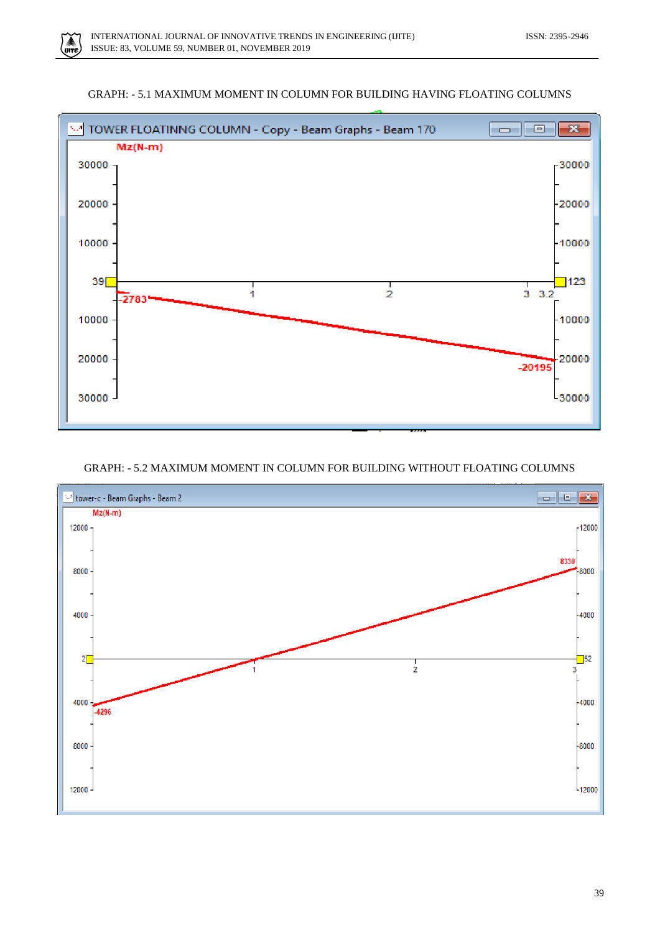





# GRAPH: - 5.2 MAXIMUM MOMENT IN COLUMN FOR BUILDING WITHOUT FLOATING COLUMNS

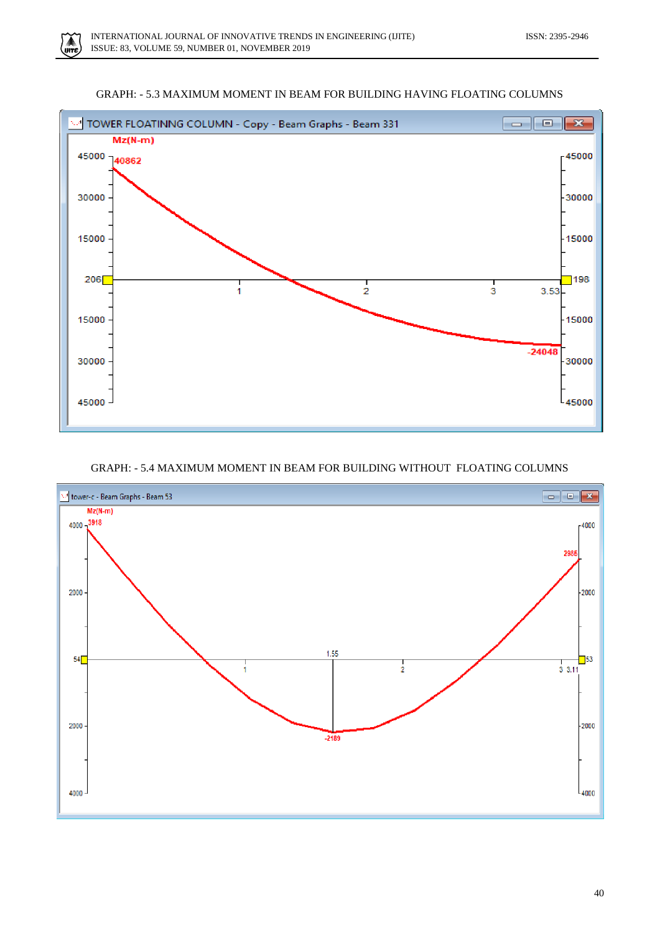◭ .<br>IIITE





# GRAPH: - 5.4 MAXIMUM MOMENT IN BEAM FOR BUILDING WITHOUT FLOATING COLUMNS

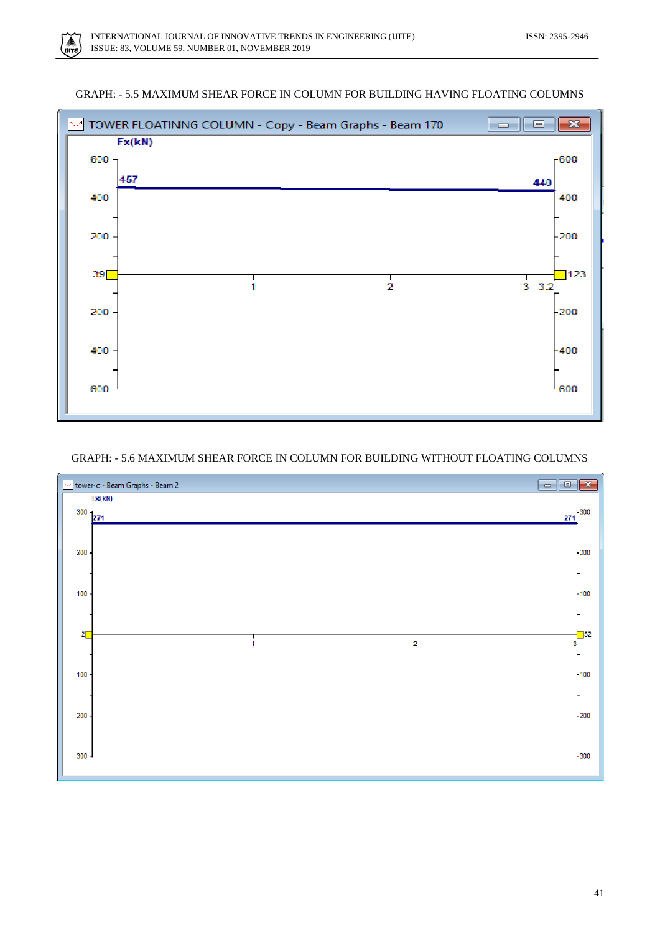◭ .<br>IIITE

# GRAPH: - 5.5 MAXIMUM SHEAR FORCE IN COLUMN FOR BUILDING HAVING FLOATING COLUMNS



## GRAPH: - 5.6 MAXIMUM SHEAR FORCE IN COLUMN FOR BUILDING WITHOUT FLOATING COLUMNS

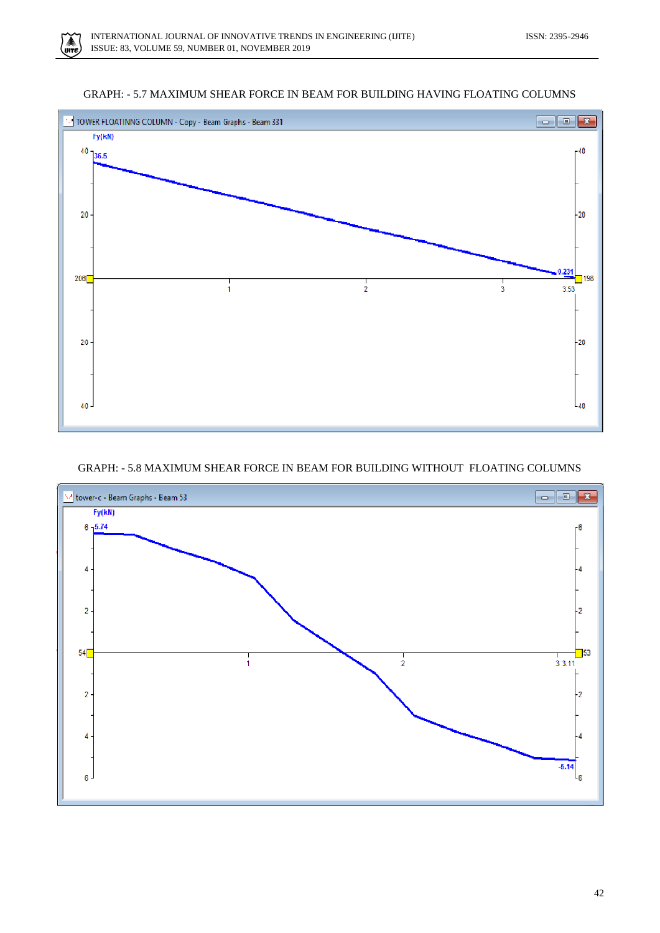mte





# GRAPH: - 5.8 MAXIMUM SHEAR FORCE IN BEAM FOR BUILDING WITHOUT FLOATING COLUMNS